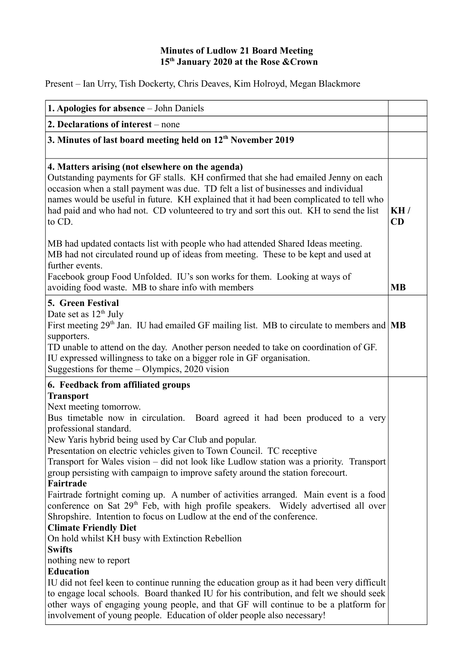## **Minutes of Ludlow 21 Board Meeting 15th January 2020 at the Rose &Crown**

Present – Ian Urry, Tish Dockerty, Chris Deaves, Kim Holroyd, Megan Blackmore

| <b>1. Apologies for absence</b> – John Daniels                                                                                                                                                                                                                                                                                                                                                                                                                                                                                                                                                                                                                                                                                                                                                                                                                                                                           |           |
|--------------------------------------------------------------------------------------------------------------------------------------------------------------------------------------------------------------------------------------------------------------------------------------------------------------------------------------------------------------------------------------------------------------------------------------------------------------------------------------------------------------------------------------------------------------------------------------------------------------------------------------------------------------------------------------------------------------------------------------------------------------------------------------------------------------------------------------------------------------------------------------------------------------------------|-----------|
| 2. Declarations of interest – none                                                                                                                                                                                                                                                                                                                                                                                                                                                                                                                                                                                                                                                                                                                                                                                                                                                                                       |           |
| 3. Minutes of last board meeting held on 12 <sup>th</sup> November 2019                                                                                                                                                                                                                                                                                                                                                                                                                                                                                                                                                                                                                                                                                                                                                                                                                                                  |           |
| 4. Matters arising (not elsewhere on the agenda)<br>Outstanding payments for GF stalls. KH confirmed that she had emailed Jenny on each<br>occasion when a stall payment was due. TD felt a list of businesses and individual<br>names would be useful in future. KH explained that it had been complicated to tell who<br>had paid and who had not. CD volunteered to try and sort this out. KH to send the list<br>to CD.                                                                                                                                                                                                                                                                                                                                                                                                                                                                                              | KH/<br>CD |
| MB had updated contacts list with people who had attended Shared Ideas meeting.<br>MB had not circulated round up of ideas from meeting. These to be kept and used at<br>further events.<br>Facebook group Food Unfolded. IU's son works for them. Looking at ways of<br>avoiding food waste. MB to share info with members                                                                                                                                                                                                                                                                                                                                                                                                                                                                                                                                                                                              | <b>MB</b> |
| 5. Green Festival<br>Date set as 12 <sup>th</sup> July<br>First meeting $29th$ Jan. IU had emailed GF mailing list. MB to circulate to members and $\vert$ MB<br>supporters.<br>TD unable to attend on the day. Another person needed to take on coordination of GF.<br>IU expressed willingness to take on a bigger role in GF organisation.<br>Suggestions for theme $-$ Olympics, 2020 vision                                                                                                                                                                                                                                                                                                                                                                                                                                                                                                                         |           |
| 6. Feedback from affiliated groups<br><b>Transport</b><br>Next meeting tomorrow.<br>Bus timetable now in circulation. Board agreed it had been produced to a very<br>professional standard.<br>New Yaris hybrid being used by Car Club and popular.<br>Presentation on electric vehicles given to Town Council. TC receptive<br>Transport for Wales vision – did not look like Ludlow station was a priority. Transport<br>group persisting with campaign to improve safety around the station forecourt.<br>Fairtrade<br>Fairtrade fortnight coming up. A number of activities arranged. Main event is a food<br>conference on Sat 29 <sup>th</sup> Feb, with high profile speakers. Widely advertised all over<br>Shropshire. Intention to focus on Ludlow at the end of the conference.<br><b>Climate Friendly Diet</b><br>On hold whilst KH busy with Extinction Rebellion<br><b>Swifts</b><br>nothing new to report |           |
| <b>Education</b><br>IU did not feel keen to continue running the education group as it had been very difficult<br>to engage local schools. Board thanked IU for his contribution, and felt we should seek<br>other ways of engaging young people, and that GF will continue to be a platform for<br>involvement of young people. Education of older people also necessary!                                                                                                                                                                                                                                                                                                                                                                                                                                                                                                                                               |           |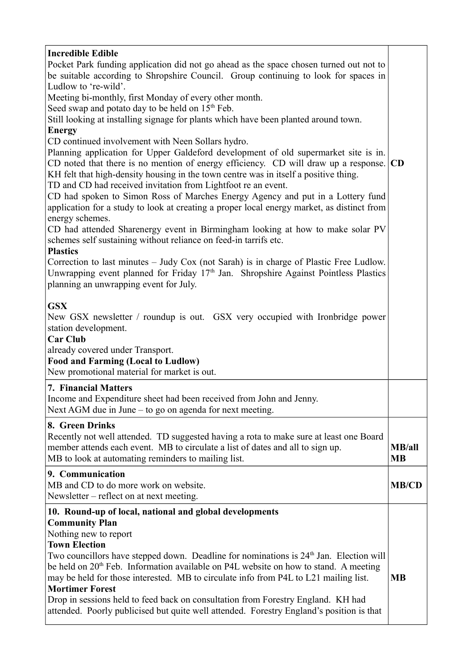| <b>Incredible Edible</b><br>Pocket Park funding application did not go ahead as the space chosen turned out not to<br>be suitable according to Shropshire Council. Group continuing to look for spaces in<br>Ludlow to 're-wild'.<br>Meeting bi-monthly, first Monday of every other month.<br>Seed swap and potato day to be held on 15 <sup>th</sup> Feb.<br>Still looking at installing signage for plants which have been planted around town.<br><b>Energy</b><br>CD continued involvement with Neen Sollars hydro.<br>Planning application for Upper Galdeford development of old supermarket site is in.<br>CD noted that there is no mention of energy efficiency. CD will draw up a response.<br>KH felt that high-density housing in the town centre was in itself a positive thing.<br>TD and CD had received invitation from Lightfoot re an event.<br>CD had spoken to Simon Ross of Marches Energy Agency and put in a Lottery fund<br>application for a study to look at creating a proper local energy market, as distinct from<br>energy schemes.<br>CD had attended Sharenergy event in Birmingham looking at how to make solar PV<br>schemes self sustaining without reliance on feed-in tarrifs etc.<br><b>Plastics</b><br>Correction to last minutes – Judy Cox (not Sarah) is in charge of Plastic Free Ludlow.<br>Unwrapping event planned for Friday $17th$ Jan. Shropshire Against Pointless Plastics<br>planning an unwrapping event for July.<br><b>GSX</b><br>New GSX newsletter / roundup is out. GSX very occupied with Ironbridge power<br>station development.<br><b>Car Club</b> | CD                          |
|-------------------------------------------------------------------------------------------------------------------------------------------------------------------------------------------------------------------------------------------------------------------------------------------------------------------------------------------------------------------------------------------------------------------------------------------------------------------------------------------------------------------------------------------------------------------------------------------------------------------------------------------------------------------------------------------------------------------------------------------------------------------------------------------------------------------------------------------------------------------------------------------------------------------------------------------------------------------------------------------------------------------------------------------------------------------------------------------------------------------------------------------------------------------------------------------------------------------------------------------------------------------------------------------------------------------------------------------------------------------------------------------------------------------------------------------------------------------------------------------------------------------------------------------------------------------------------------------------------------------|-----------------------------|
| already covered under Transport.<br><b>Food and Farming (Local to Ludlow)</b><br>New promotional material for market is out.                                                                                                                                                                                                                                                                                                                                                                                                                                                                                                                                                                                                                                                                                                                                                                                                                                                                                                                                                                                                                                                                                                                                                                                                                                                                                                                                                                                                                                                                                      |                             |
| <b>7. Financial Matters</b><br>Income and Expenditure sheet had been received from John and Jenny.<br>Next AGM due in June $-$ to go on agenda for next meeting.                                                                                                                                                                                                                                                                                                                                                                                                                                                                                                                                                                                                                                                                                                                                                                                                                                                                                                                                                                                                                                                                                                                                                                                                                                                                                                                                                                                                                                                  |                             |
| 8. Green Drinks<br>Recently not well attended. TD suggested having a rota to make sure at least one Board<br>member attends each event. MB to circulate a list of dates and all to sign up.<br>MB to look at automating reminders to mailing list.                                                                                                                                                                                                                                                                                                                                                                                                                                                                                                                                                                                                                                                                                                                                                                                                                                                                                                                                                                                                                                                                                                                                                                                                                                                                                                                                                                | <b>MB</b> /all<br><b>MB</b> |
| 9. Communication<br>MB and CD to do more work on website.<br>Newsletter – reflect on at next meeting.                                                                                                                                                                                                                                                                                                                                                                                                                                                                                                                                                                                                                                                                                                                                                                                                                                                                                                                                                                                                                                                                                                                                                                                                                                                                                                                                                                                                                                                                                                             | <b>MB/CD</b>                |
| 10. Round-up of local, national and global developments<br><b>Community Plan</b><br>Nothing new to report<br><b>Town Election</b><br>Two councillors have stepped down. Deadline for nominations is 24 <sup>th</sup> Jan. Election will<br>be held on 20 <sup>th</sup> Feb. Information available on P4L website on how to stand. A meeting<br>may be held for those interested. MB to circulate info from P4L to L21 mailing list.<br><b>Mortimer Forest</b><br>Drop in sessions held to feed back on consultation from Forestry England. KH had<br>attended. Poorly publicised but quite well attended. Forestry England's position is that                                                                                                                                                                                                                                                                                                                                                                                                                                                                                                                                                                                                                                                                                                                                                                                                                                                                                                                                                                     | <b>MB</b>                   |